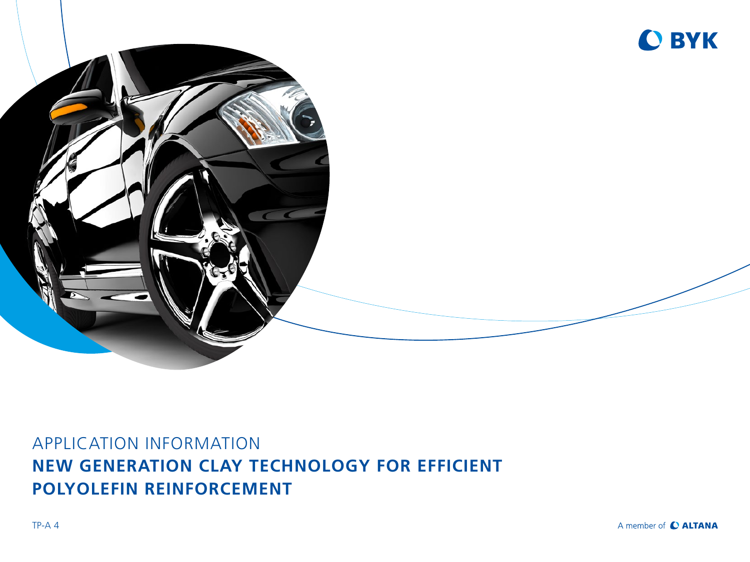



# APPLICATION INFORMATION **NEW GENERATION CLAY TECHNOLOGY FOR EFFICIENT POLYOLEFIN REINFORCEMENT**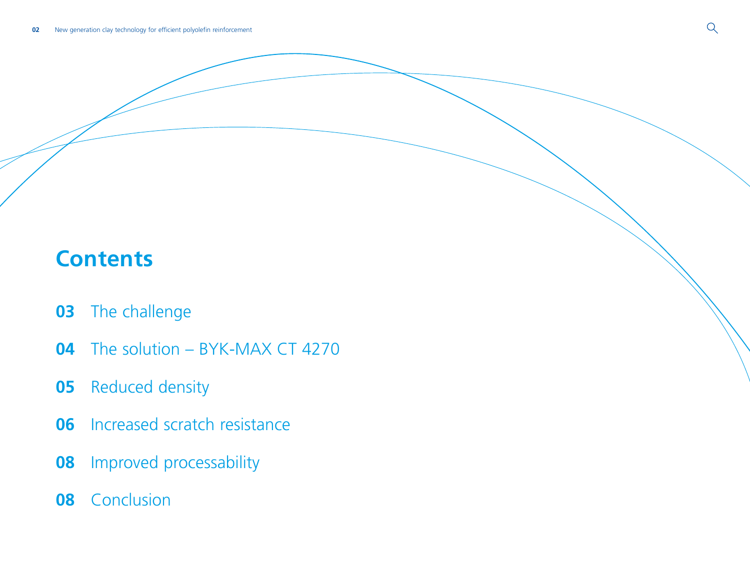# **Contents**

- [The challenge](#page-2-0)
- [The solution BYK-MAX CT 4270](#page-3-0)
- [Reduced density](#page-4-0)
- [Increased scratch resistance](#page-5-0)
- [Improved processability](#page-7-0)
- [Conclusion](#page-7-0)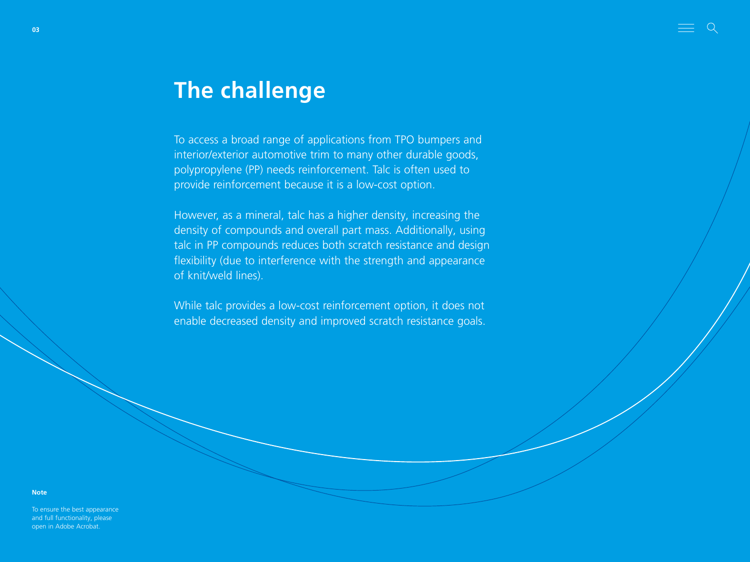# <span id="page-2-0"></span>**The challenge**

To access a broad range of applications from TPO bumpers and interior/exterior automotive trim to many other durable goods, polypropylene (PP) needs reinforcement. Talc is often used to provide reinforcement because it is a low-cost option.

However, as a mineral, talc has a higher density, increasing the density of compounds and overall part mass. Additionally, using talc in PP compounds reduces both scratch resistance and design flexibility (due to interference with the strength and appearance of knit/weld lines).

While talc provides a low-cost reinforcement option, it does not enable decreased density and improved scratch resistance goals.

**Note**

To ensure the best appearance and full functionality, please open in Adobe Acrobat.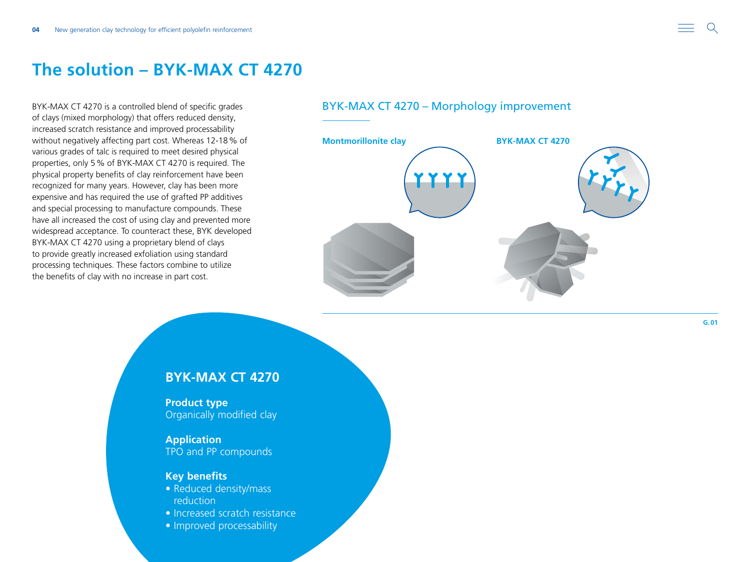## <span id="page-3-0"></span>**The solution – BYK-MAX CT 4270**

BYK-MAX CT 4270 is a controlled blend of specific grades of clays (mixed morphology) that offers reduced density, increased scratch resistance and improved processability without negatively affecting part cost. Whereas 12-18% of various grades of talc is required to meet desired physical properties, only 5% of BYK-MAX CT 4270 is required. The physical property benefits of clay reinforcement have been recognized for many years. However, clay has been more expensive and has required the use of grafted PP additives and special processing to manufacture compounds. These have all increased the cost of using clay and prevented more widespread acceptance. To counteract these, BYK developed BYK-MAX CT 4270 using a proprietary blend of clays to provide greatly increased exfoliation using standard processing techniques. These factors combine to utilize the benefits of clay with no increase in part cost.

### BYK-MAX CT 4270 – Morphology improvement



**G.01**

### **BYK-MAX CT 4270**

**Product type** Organically modified clay

**Application** TPO and PP compounds

#### **Key benefits**

- Reduced density/mass reduction
- Increased scratch resistance
- Improved processability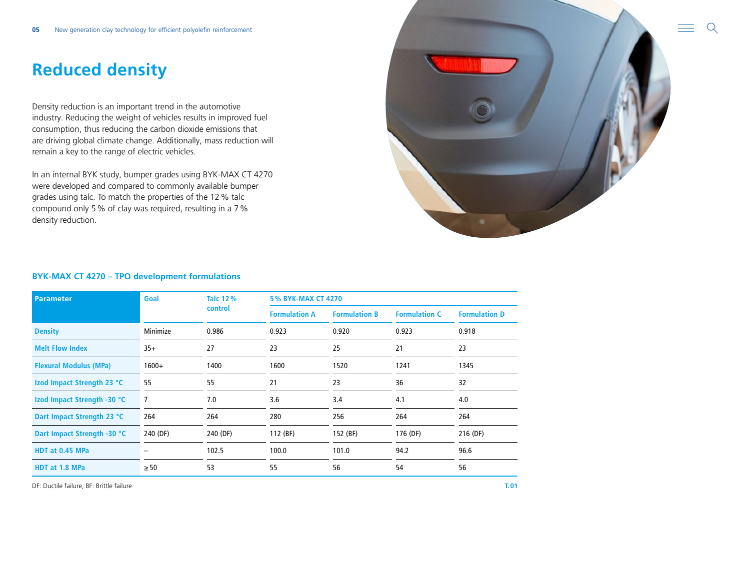# <span id="page-4-0"></span>**Reduced density**

Density reduction is an important trend in the automotive industry. Reducing the weight of vehicles results in improved fuel consumption, thus reducing the carbon dioxide emissions that are driving global climate change. Additionally, mass reduction will remain a key to the range of electric vehicles.

In an internal BYK study, bumper grades using BYK-MAX CT 4270 were developed and compared to commonly available bumper grades using talc. To match the properties of the 12% talc compound only 5% of clay was required, resulting in a 7% density reduction.



#### **BYK-MAX CT 4270 – TPO development formulations**

| <b>Parameter</b>              | Goal      | <b>Talc 12%</b><br>control | <b>5% BYK-MAX CT 4270</b> |                      |                      |                      |
|-------------------------------|-----------|----------------------------|---------------------------|----------------------|----------------------|----------------------|
|                               |           |                            | <b>Formulation A</b>      | <b>Formulation B</b> | <b>Formulation C</b> | <b>Formulation D</b> |
| <b>Density</b>                | Minimize  | 0.986                      | 0.923                     | 0.920                | 0.923                | 0.918                |
| <b>Melt Flow Index</b>        | $35+$     | 27                         | 23                        | 25                   | 21                   | 23                   |
| <b>Flexural Modulus (MPa)</b> | $1600+$   | 1400                       | 1600                      | 1520                 | 1241                 | 1345                 |
| Izod Impact Strength 23 °C    | 55        | 55                         | 21                        | 23                   | 36                   | 32                   |
| Izod Impact Strength -30 °C   | 7         | 7.0                        | 3.6                       | 3.4                  | 4.1                  | 4.0                  |
| Dart Impact Strength 23 °C    | 264       | 264                        | 280                       | 256                  | 264                  | 264                  |
| Dart Impact Strength -30 °C   | 240 (DF)  | 240 (DF)                   | 112 (BF)                  | 152 (BF)             | 176 (DF)             | 216 (DF)             |
| HDT at 0.45 MPa               |           | 102.5                      | 100.0                     | 101.0                | 94.2                 | 96.6                 |
| HDT at 1.8 MPa                | $\geq 50$ | 53                         | 55                        | 56                   | 54                   | 56                   |

DF: Ductile failure, BF: Brittle failure **T.01**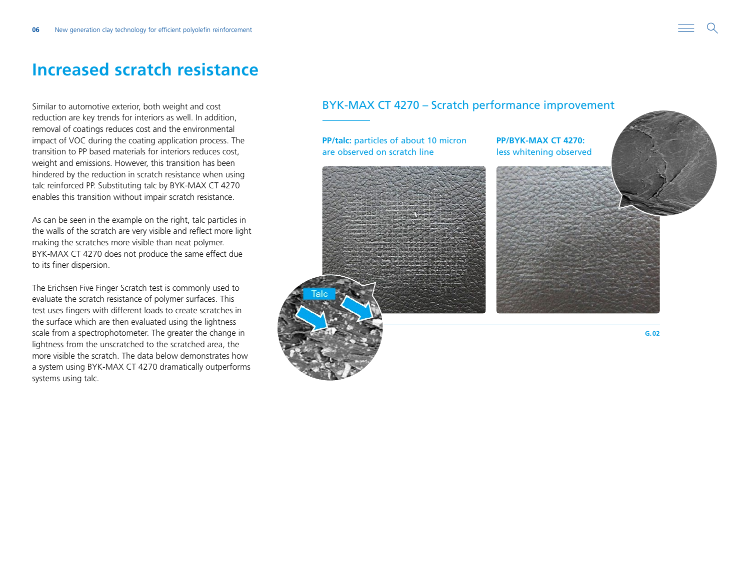### <span id="page-5-0"></span>**Increased scratch resistance**

Similar to automotive exterior, both weight and cost reduction are key trends for interiors as well. In addition, removal of coatings reduces cost and the environmental impact of VOC during the coating application process. The transition to PP based materials for interiors reduces cost, weight and emissions. However, this transition has been hindered by the reduction in scratch resistance when using talc reinforced PP. Substituting talc by BYK-MAX CT 4270 enables this transition without impair scratch resistance.

As can be seen in the example on the right, talc particles in the walls of the scratch are very visible and reflect more light making the scratches more visible than neat polymer. BYK-MAX CT 4270 does not produce the same effect due to its finer dispersion.

The Erichsen Five Finger Scratch test is commonly used to evaluate the scratch resistance of polymer surfaces. This test uses fingers with different loads to create scratches in the surface which are then evaluated using the lightness scale from a spectrophotometer. The greater the change in lightness from the unscratched to the scratched area, the more visible the scratch. The data below demonstrates how a system using BYK-MAX CT 4270 dramatically outperforms systems using talc.

### BYK-MAX CT 4270 – Scratch performance improvement

**PP/BYK-MAX CT 4270:**  less whitening observed

**PP/talc:** particles of about 10 micron are observed on scratch line

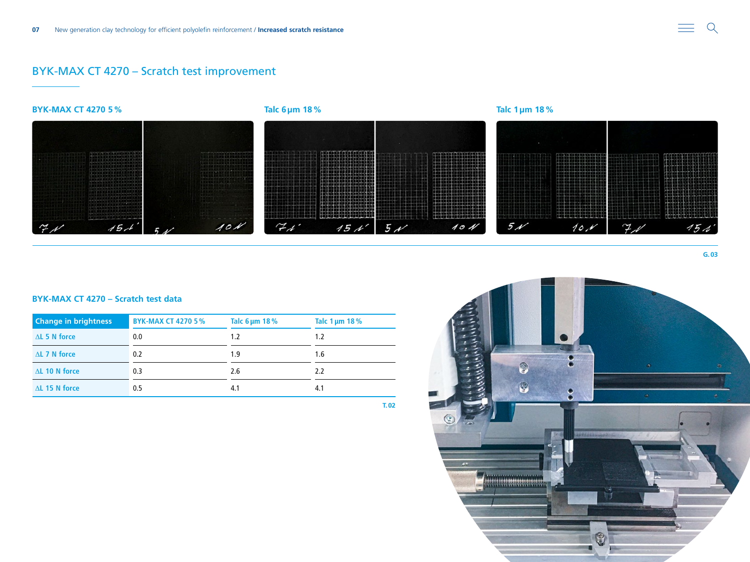### BYK-MAX CT 4270 – Scratch test improvement



#### **BYK-MAX CT 4270 – Scratch test data**

| <b>Change in brightness</b> | <b>BYK-MAX CT 4270 5%</b> | Talc $6 \mu m$ 18% | Talc $1 \mu m$ 18% |
|-----------------------------|---------------------------|--------------------|--------------------|
| $\Delta$ L 5 N force        | 0.0                       | 1.2                | 1.2                |
| $\Delta$ L 7 N force        | 0.2                       | 1.9                | 1.6                |
| $\Delta$ L 10 N force       | 0.3                       | 2.6                | 2.2                |
| $\Delta$ L 15 N force       | 0.5                       | 4.1                | 4.1                |

**T.02**



**G.03**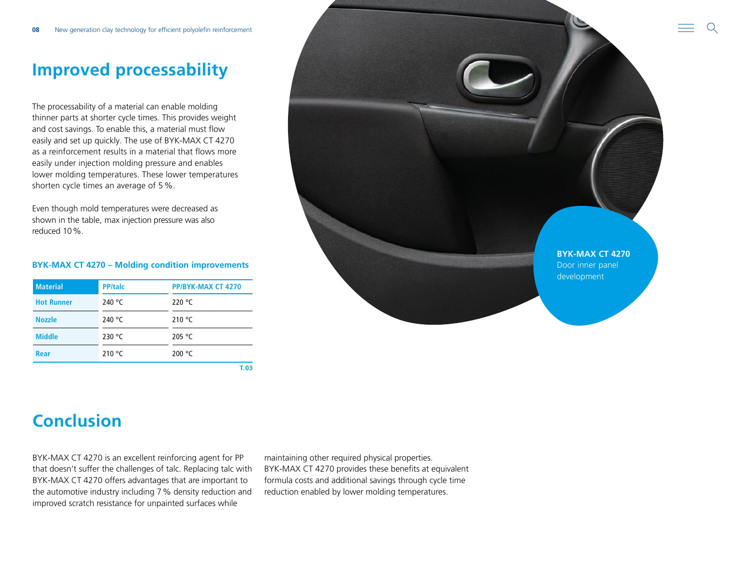# <span id="page-7-0"></span>**Improved processability**

The processability of a material can enable molding thinner parts at shorter cycle times. This provides weight and cost savings. To enable this, a material must flow easily and set up quickly. The use of BYK-MAX CT 4270 as a reinforcement results in a material that flows more easily under injection molding pressure and enables lower molding temperatures. These lower temperatures shorten cycle times an average of 5%.

Even though mold temperatures were decreased as shown in the table, max injection pressure was also reduced 10%.

#### **BYK-MAX CT 4270 – Molding condition improvements**

| <b>Material</b>   | <b>PP/talc</b>  | PP/BYK-MAX CT 4270 |
|-------------------|-----------------|--------------------|
| <b>Hot Runner</b> | 240 $\degree$ C | 220 $\degree$ C    |
| <b>Nozzle</b>     | 240 $\degree$ C | 210 °C             |
| <b>Middle</b>     | 230 $\degree$ C | 205 $\degree$ C    |
| Rear              | 210 $\degree$ C | 200 °C             |

**T.03**



# **Conclusion**

BYK-MAX CT 4270 is an excellent reinforcing agent for PP that doesn't suffer the challenges of talc. Replacing talc with BYK-MAX CT 4270 offers advantages that are important to the automotive industry including 7% density reduction and improved scratch resistance for unpainted surfaces while

maintaining other required physical properties. BYK-MAX CT 4270 provides these benefits at equivalent formula costs and additional savings through cycle time reduction enabled by lower molding temperatures.